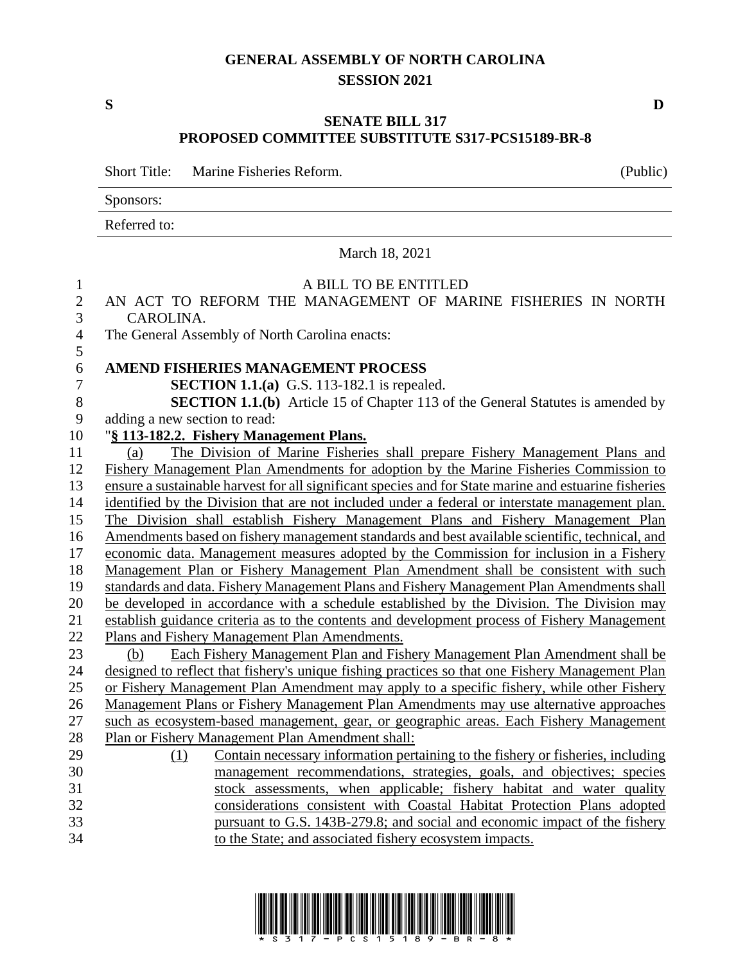### **GENERAL ASSEMBLY OF NORTH CAROLINA SESSION 2021**

### **SENATE BILL 317 PROPOSED COMMITTEE SUBSTITUTE S317-PCS15189-BR-8**

Short Title: Marine Fisheries Reform. (Public)

Sponsors:

Referred to:

### March 18, 2021

| $\mathbf{1}$     | A BILL TO BE ENTITLED                                                                                 |
|------------------|-------------------------------------------------------------------------------------------------------|
| $\overline{2}$   | AN ACT TO REFORM THE MANAGEMENT OF MARINE FISHERIES IN NORTH                                          |
| 3                | CAROLINA.                                                                                             |
| $\overline{4}$   | The General Assembly of North Carolina enacts:                                                        |
| 5                |                                                                                                       |
| $\sqrt{6}$       | <b>AMEND FISHERIES MANAGEMENT PROCESS</b>                                                             |
| $\boldsymbol{7}$ | <b>SECTION 1.1.(a)</b> G.S. 113-182.1 is repealed.                                                    |
| $8\,$            | <b>SECTION 1.1.(b)</b> Article 15 of Chapter 113 of the General Statutes is amended by                |
| 9                | adding a new section to read:                                                                         |
| 10               | "§ 113-182.2. Fishery Management Plans.                                                               |
| 11               | The Division of Marine Fisheries shall prepare Fishery Management Plans and<br>(a)                    |
| 12               | Fishery Management Plan Amendments for adoption by the Marine Fisheries Commission to                 |
| 13               | ensure a sustainable harvest for all significant species and for State marine and estuarine fisheries |
| 14               | identified by the Division that are not included under a federal or interstate management plan.       |
| 15               | The Division shall establish Fishery Management Plans and Fishery Management Plan                     |
| 16               | Amendments based on fishery management standards and best available scientific, technical, and        |
| 17               | economic data. Management measures adopted by the Commission for inclusion in a Fishery               |
| 18               | Management Plan or Fishery Management Plan Amendment shall be consistent with such                    |
| 19               | standards and data. Fishery Management Plans and Fishery Management Plan Amendments shall             |
| 20               | be developed in accordance with a schedule established by the Division. The Division may              |
| 21               | establish guidance criteria as to the contents and development process of Fishery Management          |
| 22               | Plans and Fishery Management Plan Amendments.                                                         |
| 23               | Each Fishery Management Plan and Fishery Management Plan Amendment shall be<br>(b)                    |
| 24               | designed to reflect that fishery's unique fishing practices so that one Fishery Management Plan       |
| 25               | or Fishery Management Plan Amendment may apply to a specific fishery, while other Fishery             |
| 26               | Management Plans or Fishery Management Plan Amendments may use alternative approaches                 |
| 27               | such as ecosystem-based management, gear, or geographic areas. Each Fishery Management                |
| 28               | Plan or Fishery Management Plan Amendment shall:                                                      |
| 29               | Contain necessary information pertaining to the fishery or fisheries, including<br>(1)                |
| 30               | management recommendations, strategies, goals, and objectives; species                                |
| 31               | stock assessments, when applicable; fishery habitat and water quality                                 |
| 32               | considerations consistent with Coastal Habitat Protection Plans adopted                               |
| 33               | pursuant to G.S. 143B-279.8; and social and economic impact of the fishery                            |
| 34               | to the State; and associated fishery ecosystem impacts.                                               |



**S D**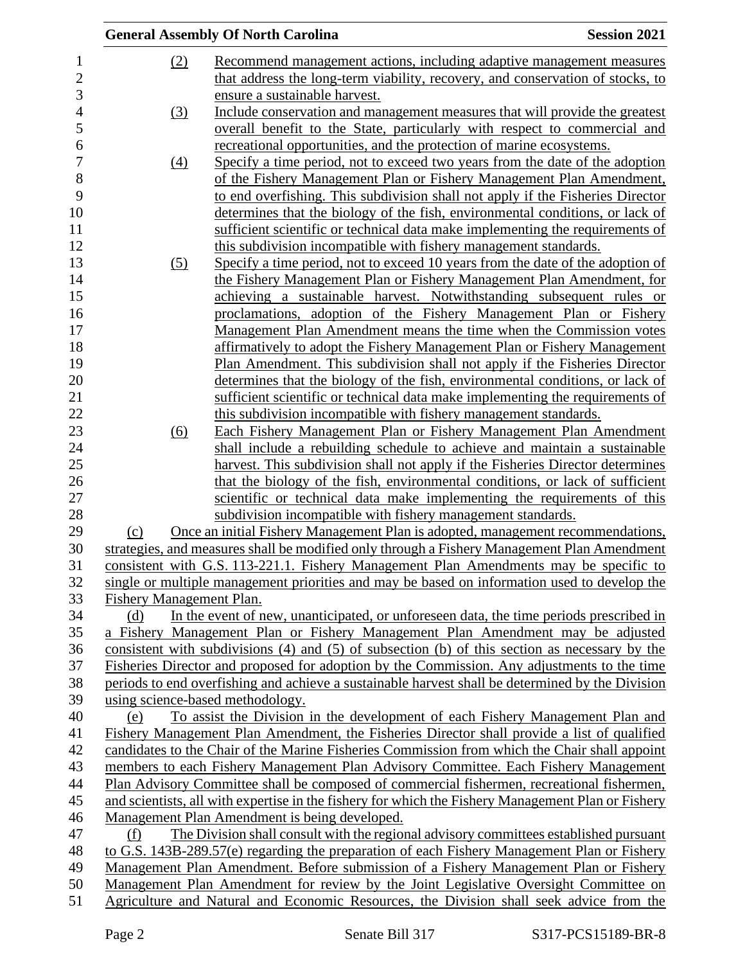|                          |                  | <b>General Assembly Of North Carolina</b>                                                          | <b>Session 2021</b> |
|--------------------------|------------------|----------------------------------------------------------------------------------------------------|---------------------|
|                          | (2)              | Recommend management actions, including adaptive management measures                               |                     |
|                          |                  | that address the long-term viability, recovery, and conservation of stocks, to                     |                     |
|                          |                  | ensure a sustainable harvest.                                                                      |                     |
|                          | (3)              | Include conservation and management measures that will provide the greatest                        |                     |
|                          |                  | overall benefit to the State, particularly with respect to commercial and                          |                     |
|                          |                  | recreational opportunities, and the protection of marine ecosystems.                               |                     |
|                          | $\left(4\right)$ | Specify a time period, not to exceed two years from the date of the adoption                       |                     |
|                          |                  | of the Fishery Management Plan or Fishery Management Plan Amendment,                               |                     |
|                          |                  | to end overfishing. This subdivision shall not apply if the Fisheries Director                     |                     |
|                          |                  | determines that the biology of the fish, environmental conditions, or lack of                      |                     |
|                          |                  | sufficient scientific or technical data make implementing the requirements of                      |                     |
|                          |                  | this subdivision incompatible with fishery management standards.                                   |                     |
|                          | (5)              | Specify a time period, not to exceed 10 years from the date of the adoption of                     |                     |
|                          |                  | the Fishery Management Plan or Fishery Management Plan Amendment, for                              |                     |
|                          |                  | achieving a sustainable harvest. Notwithstanding subsequent rules or                               |                     |
|                          |                  | proclamations, adoption of the Fishery Management Plan or Fishery                                  |                     |
|                          |                  | Management Plan Amendment means the time when the Commission votes                                 |                     |
|                          |                  | affirmatively to adopt the Fishery Management Plan or Fishery Management                           |                     |
|                          |                  | Plan Amendment. This subdivision shall not apply if the Fisheries Director                         |                     |
|                          |                  | determines that the biology of the fish, environmental conditions, or lack of                      |                     |
|                          |                  | sufficient scientific or technical data make implementing the requirements of                      |                     |
|                          |                  | this subdivision incompatible with fishery management standards.                                   |                     |
|                          | (6)              | <b>Each Fishery Management Plan or Fishery Management Plan Amendment</b>                           |                     |
|                          |                  | shall include a rebuilding schedule to achieve and maintain a sustainable                          |                     |
|                          |                  | harvest. This subdivision shall not apply if the Fisheries Director determines                     |                     |
|                          |                  | that the biology of the fish, environmental conditions, or lack of sufficient                      |                     |
|                          |                  | scientific or technical data make implementing the requirements of this                            |                     |
|                          |                  | subdivision incompatible with fishery management standards.                                        |                     |
| (c)                      |                  | Once an initial Fishery Management Plan is adopted, management recommendations,                    |                     |
|                          |                  | strategies, and measures shall be modified only through a Fishery Management Plan Amendment        |                     |
|                          |                  | consistent with G.S. 113-221.1. Fishery Management Plan Amendments may be specific to              |                     |
|                          |                  | single or multiple management priorities and may be based on information used to develop the       |                     |
| Fishery Management Plan. |                  |                                                                                                    |                     |
| (d)                      |                  | In the event of new, unanticipated, or unforeseen data, the time periods prescribed in             |                     |
|                          |                  | a Fishery Management Plan or Fishery Management Plan Amendment may be adjusted                     |                     |
|                          |                  | consistent with subdivisions (4) and (5) of subsection (b) of this section as necessary by the     |                     |
|                          |                  | Fisheries Director and proposed for adoption by the Commission. Any adjustments to the time        |                     |
|                          |                  | periods to end overfishing and achieve a sustainable harvest shall be determined by the Division   |                     |
|                          |                  | using science-based methodology.                                                                   |                     |
| (e)                      |                  | To assist the Division in the development of each Fishery Management Plan and                      |                     |
|                          |                  | Fishery Management Plan Amendment, the Fisheries Director shall provide a list of qualified        |                     |
|                          |                  | candidates to the Chair of the Marine Fisheries Commission from which the Chair shall appoint      |                     |
|                          |                  | members to each Fishery Management Plan Advisory Committee. Each Fishery Management                |                     |
|                          |                  | Plan Advisory Committee shall be composed of commercial fishermen, recreational fishermen,         |                     |
|                          |                  | and scientists, all with expertise in the fishery for which the Fishery Management Plan or Fishery |                     |
|                          |                  | Management Plan Amendment is being developed.                                                      |                     |
| (f)                      |                  | The Division shall consult with the regional advisory committees established pursuant              |                     |
|                          |                  | to G.S. 143B-289.57(e) regarding the preparation of each Fishery Management Plan or Fishery        |                     |
|                          |                  | Management Plan Amendment. Before submission of a Fishery Management Plan or Fishery               |                     |
|                          |                  | Management Plan Amendment for review by the Joint Legislative Oversight Committee on               |                     |
|                          |                  | Agriculture and Natural and Economic Resources, the Division shall seek advice from the            |                     |
|                          |                  |                                                                                                    |                     |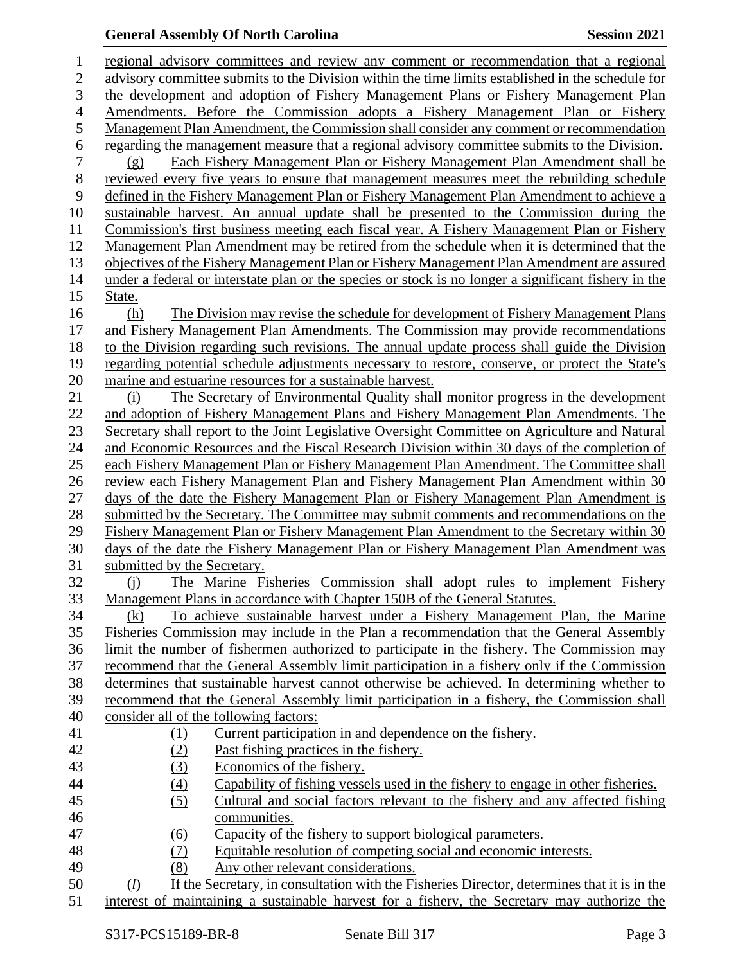# **General Assembly Of North Carolina Session 2021**

| $\mathbf 1$    | regional advisory committees and review any comment or recommendation that a regional                                                                                                 |
|----------------|---------------------------------------------------------------------------------------------------------------------------------------------------------------------------------------|
| $\mathbf{2}$   | advisory committee submits to the Division within the time limits established in the schedule for                                                                                     |
| 3              | the development and adoption of Fishery Management Plans or Fishery Management Plan                                                                                                   |
| $\overline{4}$ | Amendments. Before the Commission adopts a Fishery Management Plan or Fishery                                                                                                         |
| 5              | Management Plan Amendment, the Commission shall consider any comment or recommendation                                                                                                |
| 6              | regarding the management measure that a regional advisory committee submits to the Division.                                                                                          |
| 7              | Each Fishery Management Plan or Fishery Management Plan Amendment shall be<br>(g)                                                                                                     |
| $8\,$          | reviewed every five years to ensure that management measures meet the rebuilding schedule                                                                                             |
| 9              | defined in the Fishery Management Plan or Fishery Management Plan Amendment to achieve a                                                                                              |
| 10             | sustainable harvest. An annual update shall be presented to the Commission during the                                                                                                 |
| 11             | Commission's first business meeting each fiscal year. A Fishery Management Plan or Fishery                                                                                            |
| 12             | Management Plan Amendment may be retired from the schedule when it is determined that the                                                                                             |
| 13             | objectives of the Fishery Management Plan or Fishery Management Plan Amendment are assured                                                                                            |
| 14             | under a federal or interstate plan or the species or stock is no longer a significant fishery in the                                                                                  |
| 15             | State.                                                                                                                                                                                |
| 16             | The Division may revise the schedule for development of Fishery Management Plans<br>(h)                                                                                               |
| 17             | and Fishery Management Plan Amendments. The Commission may provide recommendations                                                                                                    |
| 18             | to the Division regarding such revisions. The annual update process shall guide the Division                                                                                          |
| 19             | regarding potential schedule adjustments necessary to restore, conserve, or protect the State's                                                                                       |
| 20             | marine and estuarine resources for a sustainable harvest.                                                                                                                             |
| 21             | The Secretary of Environmental Quality shall monitor progress in the development<br>(i)                                                                                               |
| 22             | and adoption of Fishery Management Plans and Fishery Management Plan Amendments. The                                                                                                  |
| 23             | Secretary shall report to the Joint Legislative Oversight Committee on Agriculture and Natural                                                                                        |
| 24             | and Economic Resources and the Fiscal Research Division within 30 days of the completion of                                                                                           |
| 25             | each Fishery Management Plan or Fishery Management Plan Amendment. The Committee shall                                                                                                |
| 26             | review each Fishery Management Plan and Fishery Management Plan Amendment within 30                                                                                                   |
| 27             | days of the date the Fishery Management Plan or Fishery Management Plan Amendment is                                                                                                  |
| 28             | submitted by the Secretary. The Committee may submit comments and recommendations on the                                                                                              |
| 29             | Fishery Management Plan or Fishery Management Plan Amendment to the Secretary within 30                                                                                               |
| 30             | days of the date the Fishery Management Plan or Fishery Management Plan Amendment was                                                                                                 |
| 31             | submitted by the Secretary.                                                                                                                                                           |
| 32             | The Marine Fisheries Commission shall adopt rules to implement Fishery<br>$\Omega$                                                                                                    |
| 33             | Management Plans in accordance with Chapter 150B of the General Statutes.                                                                                                             |
| 34             | To achieve sustainable harvest under a Fishery Management Plan, the Marine<br>(k)                                                                                                     |
| 35<br>36       | Fisheries Commission may include in the Plan a recommendation that the General Assembly<br>limit the number of fishermen authorized to participate in the fishery. The Commission may |
| 37             | recommend that the General Assembly limit participation in a fishery only if the Commission                                                                                           |
| 38             | determines that sustainable harvest cannot otherwise be achieved. In determining whether to                                                                                           |
| 39             | recommend that the General Assembly limit participation in a fishery, the Commission shall                                                                                            |
| 40             | consider all of the following factors:                                                                                                                                                |
| 41             | Current participation in and dependence on the fishery.<br><u>(1)</u>                                                                                                                 |
| 42             | (2)<br>Past fishing practices in the fishery.                                                                                                                                         |
| 43             | Economics of the fishery.<br>(3)                                                                                                                                                      |
| 44             | Capability of fishing vessels used in the fishery to engage in other fisheries.<br>(4)                                                                                                |
| 45             | (5)<br>Cultural and social factors relevant to the fishery and any affected fishing                                                                                                   |
| 46             | communities.                                                                                                                                                                          |
| 47             | Capacity of the fishery to support biological parameters.<br>$\underline{(6)}$                                                                                                        |
| 48             | Equitable resolution of competing social and economic interests.<br>(7)                                                                                                               |
| 49             | Any other relevant considerations.<br>(8)                                                                                                                                             |
| 50             | If the Secretary, in consultation with the Fisheries Director, determines that it is in the<br>(l)                                                                                    |
| 51             | interest of maintaining a sustainable harvest for a fishery, the Secretary may authorize the                                                                                          |
|                |                                                                                                                                                                                       |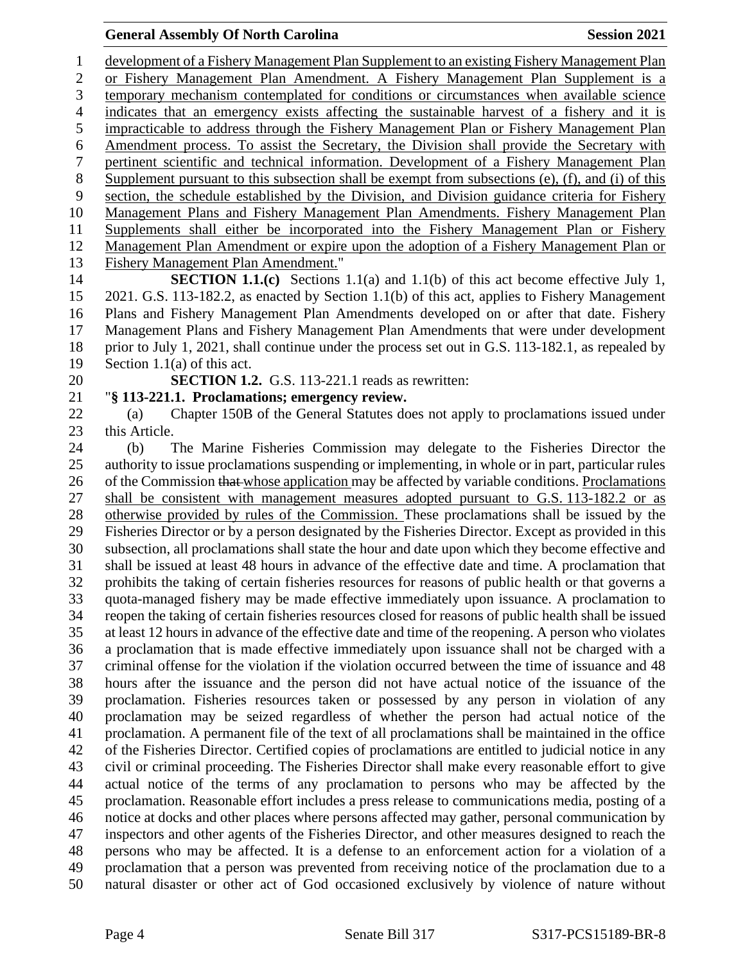development of a Fishery Management Plan Supplement to an existing Fishery Management Plan or Fishery Management Plan Amendment. A Fishery Management Plan Supplement is a temporary mechanism contemplated for conditions or circumstances when available science indicates that an emergency exists affecting the sustainable harvest of a fishery and it is impracticable to address through the Fishery Management Plan or Fishery Management Plan Amendment process. To assist the Secretary, the Division shall provide the Secretary with pertinent scientific and technical information. Development of a Fishery Management Plan Supplement pursuant to this subsection shall be exempt from subsections (e), (f), and (i) of this section, the schedule established by the Division, and Division guidance criteria for Fishery Management Plans and Fishery Management Plan Amendments. Fishery Management Plan Supplements shall either be incorporated into the Fishery Management Plan or Fishery Management Plan Amendment or expire upon the adoption of a Fishery Management Plan or Fishery Management Plan Amendment." **SECTION 1.1.(c)** Sections 1.1(a) and 1.1(b) of this act become effective July 1,

 2021. G.S. 113-182.2, as enacted by Section 1.1(b) of this act, applies to Fishery Management Plans and Fishery Management Plan Amendments developed on or after that date. Fishery Management Plans and Fishery Management Plan Amendments that were under development prior to July 1, 2021, shall continue under the process set out in G.S. 113-182.1, as repealed by Section 1.1(a) of this act.

**SECTION 1.2.** G.S. 113-221.1 reads as rewritten:

"**§ 113-221.1. Proclamations; emergency review.**

 (a) Chapter 150B of the General Statutes does not apply to proclamations issued under this Article.

 (b) The Marine Fisheries Commission may delegate to the Fisheries Director the authority to issue proclamations suspending or implementing, in whole or in part, particular rules 26 of the Commission that whose application may be affected by variable conditions. Proclamations shall be consistent with management measures adopted pursuant to G.S. 113-182.2 or as otherwise provided by rules of the Commission. These proclamations shall be issued by the Fisheries Director or by a person designated by the Fisheries Director. Except as provided in this subsection, all proclamations shall state the hour and date upon which they become effective and shall be issued at least 48 hours in advance of the effective date and time. A proclamation that prohibits the taking of certain fisheries resources for reasons of public health or that governs a quota-managed fishery may be made effective immediately upon issuance. A proclamation to reopen the taking of certain fisheries resources closed for reasons of public health shall be issued at least 12 hours in advance of the effective date and time of the reopening. A person who violates a proclamation that is made effective immediately upon issuance shall not be charged with a criminal offense for the violation if the violation occurred between the time of issuance and 48 hours after the issuance and the person did not have actual notice of the issuance of the proclamation. Fisheries resources taken or possessed by any person in violation of any proclamation may be seized regardless of whether the person had actual notice of the proclamation. A permanent file of the text of all proclamations shall be maintained in the office of the Fisheries Director. Certified copies of proclamations are entitled to judicial notice in any civil or criminal proceeding. The Fisheries Director shall make every reasonable effort to give actual notice of the terms of any proclamation to persons who may be affected by the proclamation. Reasonable effort includes a press release to communications media, posting of a notice at docks and other places where persons affected may gather, personal communication by inspectors and other agents of the Fisheries Director, and other measures designed to reach the persons who may be affected. It is a defense to an enforcement action for a violation of a proclamation that a person was prevented from receiving notice of the proclamation due to a natural disaster or other act of God occasioned exclusively by violence of nature without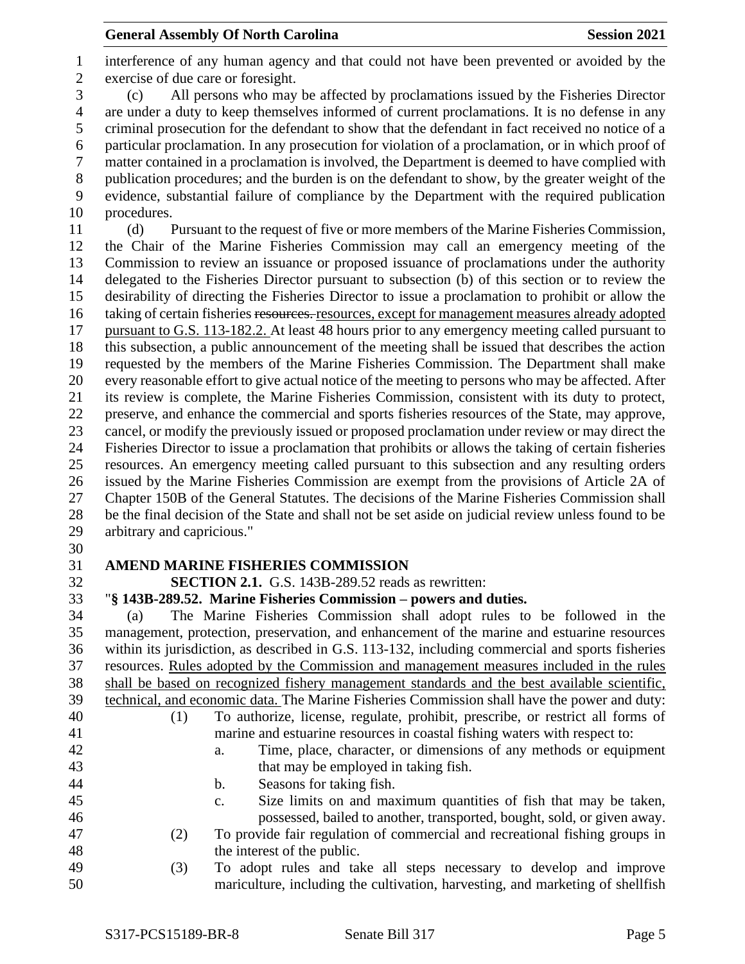interference of any human agency and that could not have been prevented or avoided by the exercise of due care or foresight. (c) All persons who may be affected by proclamations issued by the Fisheries Director are under a duty to keep themselves informed of current proclamations. It is no defense in any criminal prosecution for the defendant to show that the defendant in fact received no notice of a particular proclamation. In any prosecution for violation of a proclamation, or in which proof of matter contained in a proclamation is involved, the Department is deemed to have complied with publication procedures; and the burden is on the defendant to show, by the greater weight of the evidence, substantial failure of compliance by the Department with the required publication procedures. (d) Pursuant to the request of five or more members of the Marine Fisheries Commission, the Chair of the Marine Fisheries Commission may call an emergency meeting of the Commission to review an issuance or proposed issuance of proclamations under the authority delegated to the Fisheries Director pursuant to subsection (b) of this section or to review the desirability of directing the Fisheries Director to issue a proclamation to prohibit or allow the 16 taking of certain fisheries resources, resources, except for management measures already adopted pursuant to G.S. 113-182.2. At least 48 hours prior to any emergency meeting called pursuant to this subsection, a public announcement of the meeting shall be issued that describes the action requested by the members of the Marine Fisheries Commission. The Department shall make every reasonable effort to give actual notice of the meeting to persons who may be affected. After its review is complete, the Marine Fisheries Commission, consistent with its duty to protect, preserve, and enhance the commercial and sports fisheries resources of the State, may approve, cancel, or modify the previously issued or proposed proclamation under review or may direct the Fisheries Director to issue a proclamation that prohibits or allows the taking of certain fisheries resources. An emergency meeting called pursuant to this subsection and any resulting orders issued by the Marine Fisheries Commission are exempt from the provisions of Article 2A of Chapter 150B of the General Statutes. The decisions of the Marine Fisheries Commission shall be the final decision of the State and shall not be set aside on judicial review unless found to be arbitrary and capricious."

# **AMEND MARINE FISHERIES COMMISSION**

**SECTION 2.1.** G.S. 143B-289.52 reads as rewritten:

"**§ 143B-289.52. Marine Fisheries Commission – powers and duties.**

 (a) The Marine Fisheries Commission shall adopt rules to be followed in the management, protection, preservation, and enhancement of the marine and estuarine resources within its jurisdiction, as described in G.S. 113-132, including commercial and sports fisheries resources. Rules adopted by the Commission and management measures included in the rules shall be based on recognized fishery management standards and the best available scientific, technical, and economic data. The Marine Fisheries Commission shall have the power and duty: (1) To authorize, license, regulate, prohibit, prescribe, or restrict all forms of marine and estuarine resources in coastal fishing waters with respect to: a. Time, place, character, or dimensions of any methods or equipment that may be employed in taking fish. b. Seasons for taking fish. c. Size limits on and maximum quantities of fish that may be taken, possessed, bailed to another, transported, bought, sold, or given away. (2) To provide fair regulation of commercial and recreational fishing groups in the interest of the public.

 (3) To adopt rules and take all steps necessary to develop and improve mariculture, including the cultivation, harvesting, and marketing of shellfish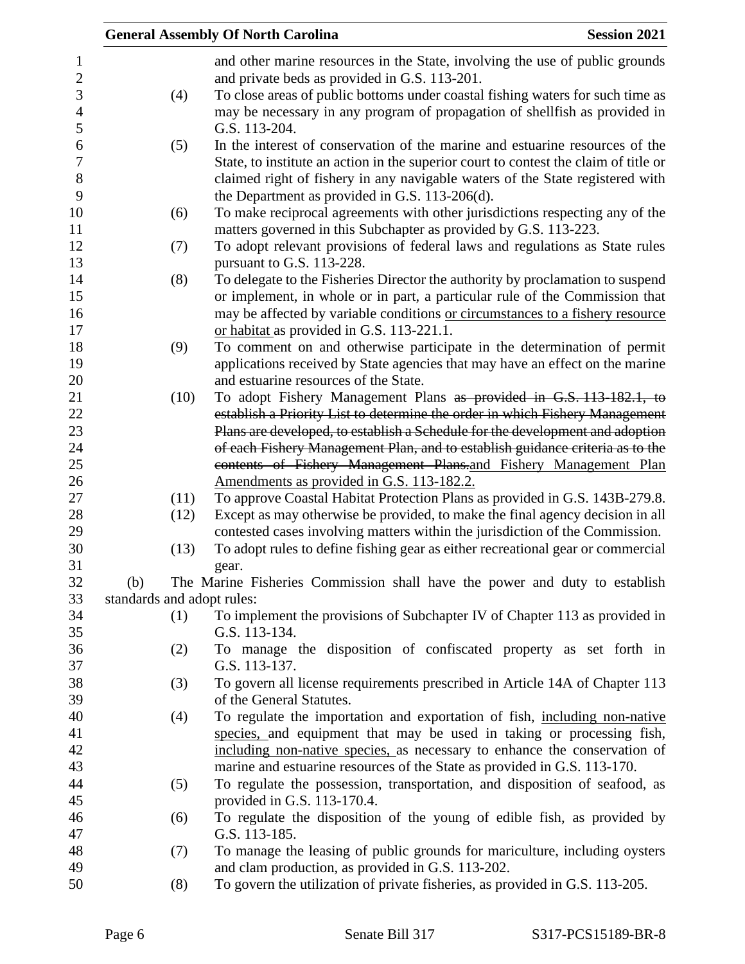|     |                            | <b>Session 2021</b><br><b>General Assembly Of North Carolina</b>                                                                                  |
|-----|----------------------------|---------------------------------------------------------------------------------------------------------------------------------------------------|
|     |                            | and other marine resources in the State, involving the use of public grounds                                                                      |
|     |                            | and private beds as provided in G.S. 113-201.                                                                                                     |
|     | (4)                        | To close areas of public bottoms under coastal fishing waters for such time as                                                                    |
|     |                            | may be necessary in any program of propagation of shellfish as provided in                                                                        |
|     |                            | G.S. 113-204.                                                                                                                                     |
|     | (5)                        | In the interest of conservation of the marine and estuarine resources of the                                                                      |
|     |                            | State, to institute an action in the superior court to contest the claim of title or                                                              |
|     |                            | claimed right of fishery in any navigable waters of the State registered with                                                                     |
|     |                            | the Department as provided in G.S. 113-206(d).                                                                                                    |
|     | (6)                        | To make reciprocal agreements with other jurisdictions respecting any of the                                                                      |
|     |                            | matters governed in this Subchapter as provided by G.S. 113-223.                                                                                  |
|     | (7)                        | To adopt relevant provisions of federal laws and regulations as State rules                                                                       |
|     |                            | pursuant to G.S. 113-228.                                                                                                                         |
|     | (8)                        | To delegate to the Fisheries Director the authority by proclamation to suspend                                                                    |
|     |                            | or implement, in whole or in part, a particular rule of the Commission that                                                                       |
|     |                            | may be affected by variable conditions or circumstances to a fishery resource                                                                     |
|     |                            | or habitat as provided in G.S. 113-221.1.                                                                                                         |
|     | (9)                        | To comment on and otherwise participate in the determination of permit                                                                            |
|     |                            | applications received by State agencies that may have an effect on the marine                                                                     |
|     |                            | and estuarine resources of the State.                                                                                                             |
|     | (10)                       | To adopt Fishery Management Plans as provided in G.S. 113-182.1, to                                                                               |
|     |                            | establish a Priority List to determine the order in which Fishery Management                                                                      |
|     |                            | Plans are developed, to establish a Schedule for the development and adoption                                                                     |
|     |                            | of each Fishery Management Plan, and to establish guidance criteria as to the<br>contents of Fishery Management Plans.and Fishery Management Plan |
|     |                            | Amendments as provided in G.S. 113-182.2.                                                                                                         |
|     | (11)                       | To approve Coastal Habitat Protection Plans as provided in G.S. 143B-279.8.                                                                       |
|     | (12)                       | Except as may otherwise be provided, to make the final agency decision in all                                                                     |
|     |                            | contested cases involving matters within the jurisdiction of the Commission.                                                                      |
|     | (13)                       | To adopt rules to define fishing gear as either recreational gear or commercial                                                                   |
|     |                            | gear.                                                                                                                                             |
| (b) |                            | The Marine Fisheries Commission shall have the power and duty to establish                                                                        |
|     | standards and adopt rules: |                                                                                                                                                   |
|     | (1)                        | To implement the provisions of Subchapter IV of Chapter 113 as provided in                                                                        |
|     |                            | G.S. 113-134.                                                                                                                                     |
|     | (2)                        | To manage the disposition of confiscated property as set forth in                                                                                 |
|     |                            | G.S. 113-137.                                                                                                                                     |
|     | (3)                        | To govern all license requirements prescribed in Article 14A of Chapter 113                                                                       |
|     |                            | of the General Statutes.                                                                                                                          |
|     | (4)                        | To regulate the importation and exportation of fish, including non-native                                                                         |
|     |                            | species, and equipment that may be used in taking or processing fish,                                                                             |
|     |                            | including non-native species, as necessary to enhance the conservation of                                                                         |
|     |                            | marine and estuarine resources of the State as provided in G.S. 113-170.                                                                          |
|     | (5)                        | To regulate the possession, transportation, and disposition of seafood, as                                                                        |
|     |                            | provided in G.S. 113-170.4.                                                                                                                       |
|     | (6)                        | To regulate the disposition of the young of edible fish, as provided by                                                                           |
|     |                            | G.S. 113-185.                                                                                                                                     |
|     | (7)                        | To manage the leasing of public grounds for mariculture, including oysters                                                                        |
|     |                            | and clam production, as provided in G.S. 113-202.                                                                                                 |
|     | (8)                        | To govern the utilization of private fisheries, as provided in G.S. 113-205.                                                                      |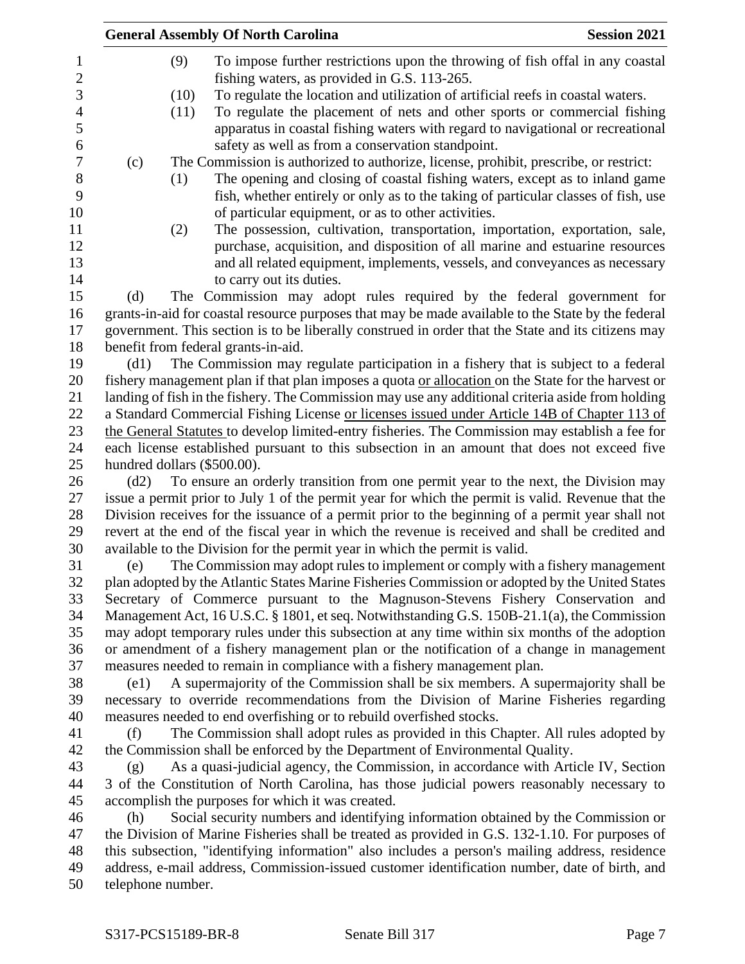|                             |      | <b>General Assembly Of North Carolina</b>                                                                                                                          | <b>Session 2021</b> |
|-----------------------------|------|--------------------------------------------------------------------------------------------------------------------------------------------------------------------|---------------------|
|                             | (9)  | To impose further restrictions upon the throwing of fish offal in any coastal                                                                                      |                     |
|                             |      | fishing waters, as provided in G.S. 113-265.                                                                                                                       |                     |
|                             | (10) | To regulate the location and utilization of artificial reefs in coastal waters.                                                                                    |                     |
|                             | (11) | To regulate the placement of nets and other sports or commercial fishing                                                                                           |                     |
|                             |      | apparatus in coastal fishing waters with regard to navigational or recreational                                                                                    |                     |
|                             |      | safety as well as from a conservation standpoint.                                                                                                                  |                     |
| (c)                         |      | The Commission is authorized to authorize, license, prohibit, prescribe, or restrict:                                                                              |                     |
|                             | (1)  | The opening and closing of coastal fishing waters, except as to inland game                                                                                        |                     |
|                             |      | fish, whether entirely or only as to the taking of particular classes of fish, use                                                                                 |                     |
|                             |      | of particular equipment, or as to other activities.                                                                                                                |                     |
|                             | (2)  | The possession, cultivation, transportation, importation, exportation, sale,                                                                                       |                     |
|                             |      | purchase, acquisition, and disposition of all marine and estuarine resources                                                                                       |                     |
|                             |      | and all related equipment, implements, vessels, and conveyances as necessary                                                                                       |                     |
|                             |      | to carry out its duties.                                                                                                                                           |                     |
| (d)                         |      | The Commission may adopt rules required by the federal government for                                                                                              |                     |
|                             |      | grants-in-aid for coastal resource purposes that may be made available to the State by the federal                                                                 |                     |
|                             |      | government. This section is to be liberally construed in order that the State and its citizens may                                                                 |                     |
| (d1)                        |      | benefit from federal grants-in-aid.<br>The Commission may regulate participation in a fishery that is subject to a federal                                         |                     |
|                             |      | fishery management plan if that plan imposes a quota or allocation on the State for the harvest or                                                                 |                     |
|                             |      | landing of fish in the fishery. The Commission may use any additional criteria aside from holding                                                                  |                     |
|                             |      | a Standard Commercial Fishing License or licenses issued under Article 14B of Chapter 113 of                                                                       |                     |
|                             |      | the General Statutes to develop limited-entry fisheries. The Commission may establish a fee for                                                                    |                     |
|                             |      | each license established pursuant to this subsection in an amount that does not exceed five                                                                        |                     |
| hundred dollars (\$500.00). |      |                                                                                                                                                                    |                     |
| (d2)                        |      | To ensure an orderly transition from one permit year to the next, the Division may                                                                                 |                     |
|                             |      | issue a permit prior to July 1 of the permit year for which the permit is valid. Revenue that the                                                                  |                     |
|                             |      | Division receives for the issuance of a permit prior to the beginning of a permit year shall not                                                                   |                     |
|                             |      | revert at the end of the fiscal year in which the revenue is received and shall be credited and                                                                    |                     |
|                             |      | available to the Division for the permit year in which the permit is valid.                                                                                        |                     |
| (e)                         |      | The Commission may adopt rules to implement or comply with a fishery management                                                                                    |                     |
|                             |      | plan adopted by the Atlantic States Marine Fisheries Commission or adopted by the United States                                                                    |                     |
|                             |      | Secretary of Commerce pursuant to the Magnuson-Stevens Fishery Conservation and                                                                                    |                     |
|                             |      | Management Act, 16 U.S.C. § 1801, et seq. Notwithstanding G.S. 150B-21.1(a), the Commission                                                                        |                     |
|                             |      | may adopt temporary rules under this subsection at any time within six months of the adoption                                                                      |                     |
|                             |      | or amendment of a fishery management plan or the notification of a change in management<br>measures needed to remain in compliance with a fishery management plan. |                     |
| (e1)                        |      | A supermajority of the Commission shall be six members. A supermajority shall be                                                                                   |                     |
|                             |      | necessary to override recommendations from the Division of Marine Fisheries regarding                                                                              |                     |
|                             |      | measures needed to end overfishing or to rebuild overfished stocks.                                                                                                |                     |
| (f)                         |      | The Commission shall adopt rules as provided in this Chapter. All rules adopted by                                                                                 |                     |
|                             |      | the Commission shall be enforced by the Department of Environmental Quality.                                                                                       |                     |
| (g)                         |      | As a quasi-judicial agency, the Commission, in accordance with Article IV, Section                                                                                 |                     |
|                             |      | 3 of the Constitution of North Carolina, has those judicial powers reasonably necessary to                                                                         |                     |
|                             |      | accomplish the purposes for which it was created.                                                                                                                  |                     |
| (h)                         |      | Social security numbers and identifying information obtained by the Commission or                                                                                  |                     |
|                             |      | the Division of Marine Fisheries shall be treated as provided in G.S. 132-1.10. For purposes of                                                                    |                     |
|                             |      | this subsection, "identifying information" also includes a person's mailing address, residence                                                                     |                     |
|                             |      | address, e-mail address, Commission-issued customer identification number, date of birth, and                                                                      |                     |
| telephone number.           |      |                                                                                                                                                                    |                     |
|                             |      |                                                                                                                                                                    |                     |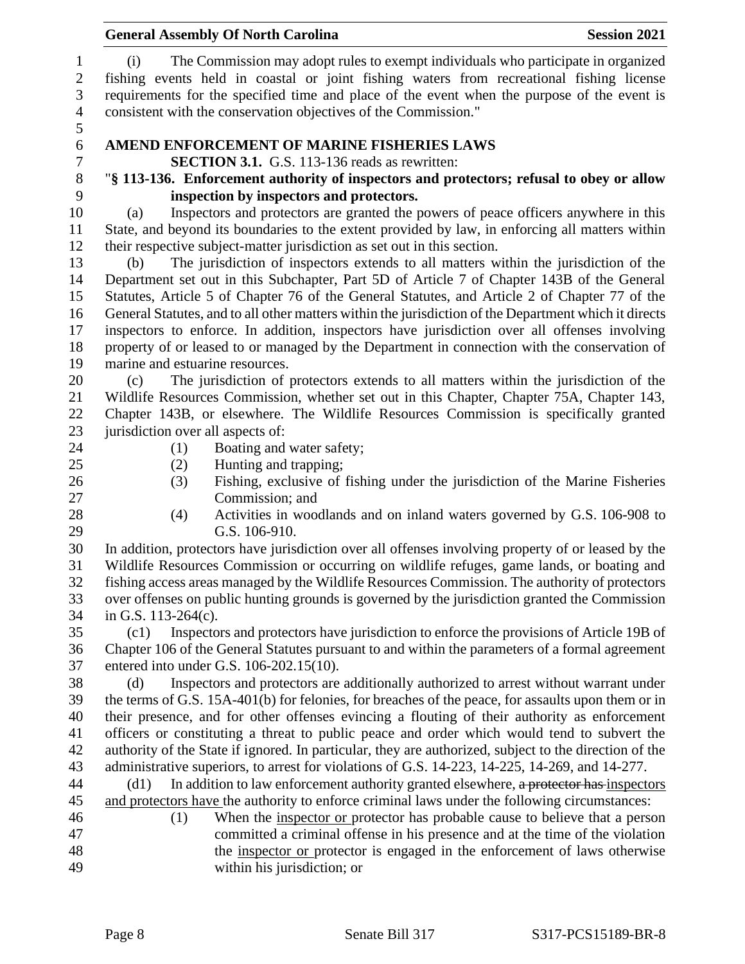| <b>General Assembly Of North Carolina</b>                                                                                                                                                                                                                                           | <b>Session 2021</b> |
|-------------------------------------------------------------------------------------------------------------------------------------------------------------------------------------------------------------------------------------------------------------------------------------|---------------------|
| The Commission may adopt rules to exempt individuals who participate in organized<br>(i)<br>fishing events held in coastal or joint fishing waters from recreational fishing license<br>requirements for the specified time and place of the event when the purpose of the event is |                     |
| consistent with the conservation objectives of the Commission."                                                                                                                                                                                                                     |                     |
| AMEND ENFORCEMENT OF MARINE FISHERIES LAWS                                                                                                                                                                                                                                          |                     |
| <b>SECTION 3.1.</b> G.S. 113-136 reads as rewritten:                                                                                                                                                                                                                                |                     |
| "§ 113-136. Enforcement authority of inspectors and protectors; refusal to obey or allow                                                                                                                                                                                            |                     |
| inspection by inspectors and protectors.                                                                                                                                                                                                                                            |                     |
| Inspectors and protectors are granted the powers of peace officers anywhere in this<br>(a)                                                                                                                                                                                          |                     |
| State, and beyond its boundaries to the extent provided by law, in enforcing all matters within                                                                                                                                                                                     |                     |
| their respective subject-matter jurisdiction as set out in this section.                                                                                                                                                                                                            |                     |
| The jurisdiction of inspectors extends to all matters within the jurisdiction of the<br>(b)                                                                                                                                                                                         |                     |
| Department set out in this Subchapter, Part 5D of Article 7 of Chapter 143B of the General<br>Statutes, Article 5 of Chapter 76 of the General Statutes, and Article 2 of Chapter 77 of the                                                                                         |                     |
| General Statutes, and to all other matters within the jurisdiction of the Department which it directs                                                                                                                                                                               |                     |
| inspectors to enforce. In addition, inspectors have jurisdiction over all offenses involving                                                                                                                                                                                        |                     |
| property of or leased to or managed by the Department in connection with the conservation of                                                                                                                                                                                        |                     |
| marine and estuarine resources.                                                                                                                                                                                                                                                     |                     |
| The jurisdiction of protectors extends to all matters within the jurisdiction of the<br>(c)                                                                                                                                                                                         |                     |
| Wildlife Resources Commission, whether set out in this Chapter, Chapter 75A, Chapter 143,                                                                                                                                                                                           |                     |
| Chapter 143B, or elsewhere. The Wildlife Resources Commission is specifically granted                                                                                                                                                                                               |                     |
| jurisdiction over all aspects of:                                                                                                                                                                                                                                                   |                     |
| (1)<br>Boating and water safety;                                                                                                                                                                                                                                                    |                     |
| Hunting and trapping;<br>(2)                                                                                                                                                                                                                                                        |                     |
| Fishing, exclusive of fishing under the jurisdiction of the Marine Fisheries<br>(3)                                                                                                                                                                                                 |                     |
| Commission; and                                                                                                                                                                                                                                                                     |                     |
| Activities in woodlands and on inland waters governed by G.S. 106-908 to<br>(4)                                                                                                                                                                                                     |                     |
| G.S. 106-910.                                                                                                                                                                                                                                                                       |                     |
| In addition, protectors have jurisdiction over all offenses involving property of or leased by the                                                                                                                                                                                  |                     |
| Wildlife Resources Commission or occurring on wildlife refuges, game lands, or boating and                                                                                                                                                                                          |                     |
| fishing access areas managed by the Wildlife Resources Commission. The authority of protectors                                                                                                                                                                                      |                     |
| over offenses on public hunting grounds is governed by the jurisdiction granted the Commission                                                                                                                                                                                      |                     |
| in G.S. $113-264(c)$ .<br>Inspectors and protectors have jurisdiction to enforce the provisions of Article 19B of<br>(c1)                                                                                                                                                           |                     |
| Chapter 106 of the General Statutes pursuant to and within the parameters of a formal agreement                                                                                                                                                                                     |                     |
| entered into under G.S. 106-202.15(10).                                                                                                                                                                                                                                             |                     |
| Inspectors and protectors are additionally authorized to arrest without warrant under<br>(d)                                                                                                                                                                                        |                     |
| the terms of G.S. 15A-401(b) for felonies, for breaches of the peace, for assaults upon them or in                                                                                                                                                                                  |                     |
| their presence, and for other offenses evincing a flouting of their authority as enforcement                                                                                                                                                                                        |                     |
| officers or constituting a threat to public peace and order which would tend to subvert the                                                                                                                                                                                         |                     |
| authority of the State if ignored. In particular, they are authorized, subject to the direction of the                                                                                                                                                                              |                     |
| administrative superiors, to arrest for violations of G.S. 14-223, 14-225, 14-269, and 14-277.                                                                                                                                                                                      |                     |
| In addition to law enforcement authority granted elsewhere, a protector has inspectors<br>(d1)                                                                                                                                                                                      |                     |
| and protectors have the authority to enforce criminal laws under the following circumstances:                                                                                                                                                                                       |                     |
| When the inspector or protector has probable cause to believe that a person<br>(1)                                                                                                                                                                                                  |                     |
| committed a criminal offense in his presence and at the time of the violation                                                                                                                                                                                                       |                     |
| the inspector or protector is engaged in the enforcement of laws otherwise                                                                                                                                                                                                          |                     |
| within his jurisdiction; or                                                                                                                                                                                                                                                         |                     |
|                                                                                                                                                                                                                                                                                     |                     |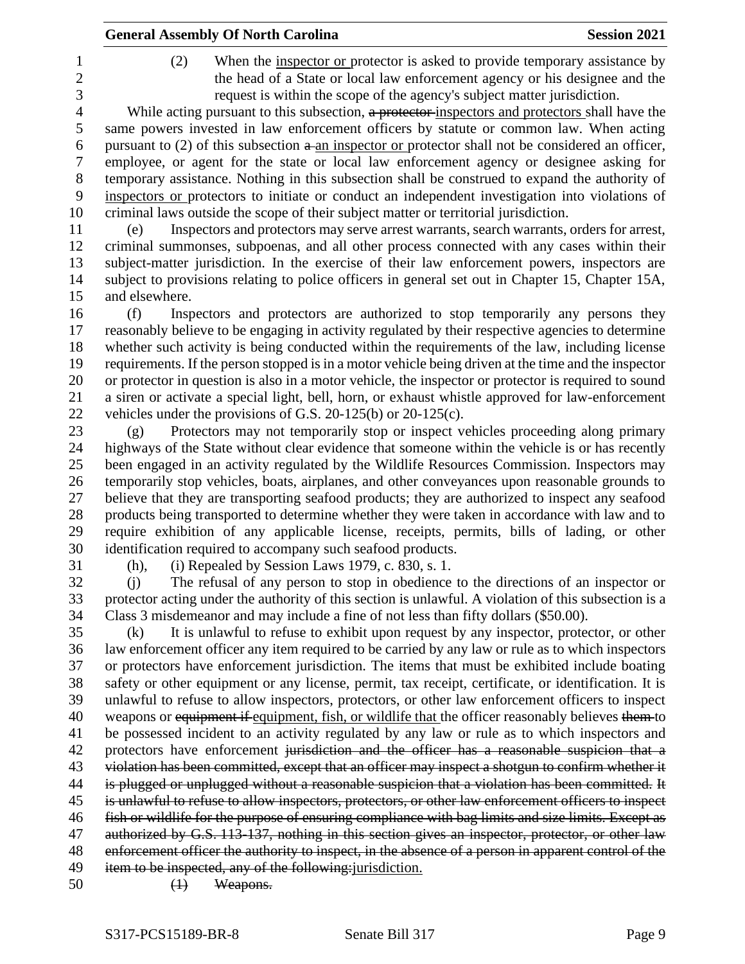|                | <b>General Assembly Of North Carolina</b>                                                                                                                                                                                              | <b>Session 2021</b> |
|----------------|----------------------------------------------------------------------------------------------------------------------------------------------------------------------------------------------------------------------------------------|---------------------|
| (2)            | When the inspector or protector is asked to provide temporary assistance by<br>the head of a State or local law enforcement agency or his designee and the<br>request is within the scope of the agency's subject matter jurisdiction. |                     |
|                | While acting pursuant to this subsection, a protector-inspectors and protectors shall have the                                                                                                                                         |                     |
|                | same powers invested in law enforcement officers by statute or common law. When acting                                                                                                                                                 |                     |
|                | pursuant to $(2)$ of this subsection $a$ -an inspector or protector shall not be considered an officer,                                                                                                                                |                     |
|                | employee, or agent for the state or local law enforcement agency or designee asking for                                                                                                                                                |                     |
|                | temporary assistance. Nothing in this subsection shall be construed to expand the authority of                                                                                                                                         |                     |
|                | inspectors or protectors to initiate or conduct an independent investigation into violations of                                                                                                                                        |                     |
|                | criminal laws outside the scope of their subject matter or territorial jurisdiction.                                                                                                                                                   |                     |
| (e)            | Inspectors and protectors may serve arrest warrants, search warrants, orders for arrest,                                                                                                                                               |                     |
|                | criminal summonses, subpoenas, and all other process connected with any cases within their                                                                                                                                             |                     |
|                | subject-matter jurisdiction. In the exercise of their law enforcement powers, inspectors are                                                                                                                                           |                     |
|                | subject to provisions relating to police officers in general set out in Chapter 15, Chapter 15A,                                                                                                                                       |                     |
| and elsewhere. |                                                                                                                                                                                                                                        |                     |
| (f)            | Inspectors and protectors are authorized to stop temporarily any persons they                                                                                                                                                          |                     |
|                | reasonably believe to be engaging in activity regulated by their respective agencies to determine                                                                                                                                      |                     |
|                | whether such activity is being conducted within the requirements of the law, including license                                                                                                                                         |                     |
|                | requirements. If the person stopped is in a motor vehicle being driven at the time and the inspector                                                                                                                                   |                     |
|                | or protector in question is also in a motor vehicle, the inspector or protector is required to sound                                                                                                                                   |                     |
|                | a siren or activate a special light, bell, horn, or exhaust whistle approved for law-enforcement                                                                                                                                       |                     |
|                | vehicles under the provisions of G.S. $20-125(b)$ or $20-125(c)$ .                                                                                                                                                                     |                     |
| (g)            | Protectors may not temporarily stop or inspect vehicles proceeding along primary                                                                                                                                                       |                     |
|                | highways of the State without clear evidence that someone within the vehicle is or has recently                                                                                                                                        |                     |
|                | been engaged in an activity regulated by the Wildlife Resources Commission. Inspectors may                                                                                                                                             |                     |
|                | temporarily stop vehicles, boats, airplanes, and other conveyances upon reasonable grounds to                                                                                                                                          |                     |
|                | believe that they are transporting seafood products; they are authorized to inspect any seafood                                                                                                                                        |                     |
|                | products being transported to determine whether they were taken in accordance with law and to                                                                                                                                          |                     |
|                | require exhibition of any applicable license, receipts, permits, bills of lading, or other                                                                                                                                             |                     |
|                | identification required to accompany such seafood products.                                                                                                                                                                            |                     |
|                | (h), (i) Repealed by Session Laws 1979, c. 830, s. 1.                                                                                                                                                                                  |                     |
| (i)            | The refusal of any person to stop in obedience to the directions of an inspector or                                                                                                                                                    |                     |
|                | protector acting under the authority of this section is unlawful. A violation of this subsection is a                                                                                                                                  |                     |
|                | Class 3 misdemeanor and may include a fine of not less than fifty dollars (\$50.00).                                                                                                                                                   |                     |
| (k)            | It is unlawful to refuse to exhibit upon request by any inspector, protector, or other                                                                                                                                                 |                     |
|                | law enforcement officer any item required to be carried by any law or rule as to which inspectors                                                                                                                                      |                     |
|                | or protectors have enforcement jurisdiction. The items that must be exhibited include boating                                                                                                                                          |                     |
|                | safety or other equipment or any license, permit, tax receipt, certificate, or identification. It is                                                                                                                                   |                     |
|                | unlawful to refuse to allow inspectors, protectors, or other law enforcement officers to inspect                                                                                                                                       |                     |
|                | weapons or equipment if equipment, fish, or wildlife that the officer reasonably believes them to                                                                                                                                      |                     |
|                | be possessed incident to an activity regulated by any law or rule as to which inspectors and                                                                                                                                           |                     |
|                | protectors have enforcement jurisdiction and the officer has a reasonable suspicion that a                                                                                                                                             |                     |
|                | violation has been committed, except that an officer may inspect a shotgun to confirm whether it                                                                                                                                       |                     |
|                | is plugged or unplugged without a reasonable suspicion that a violation has been committed. It<br>is unlawful to refuse to allow inspectors, protectors, or other law enforcement officers to inspect                                  |                     |
|                | fish or wildlife for the purpose of ensuring compliance with bag limits and size limits. Except as                                                                                                                                     |                     |
|                | authorized by G.S. 113-137, nothing in this section gives an inspector, protector, or other law                                                                                                                                        |                     |
|                |                                                                                                                                                                                                                                        |                     |
|                |                                                                                                                                                                                                                                        |                     |
|                | enforcement officer the authority to inspect, in the absence of a person in apparent control of the<br>item to be inspected, any of the following: jurisdiction.                                                                       |                     |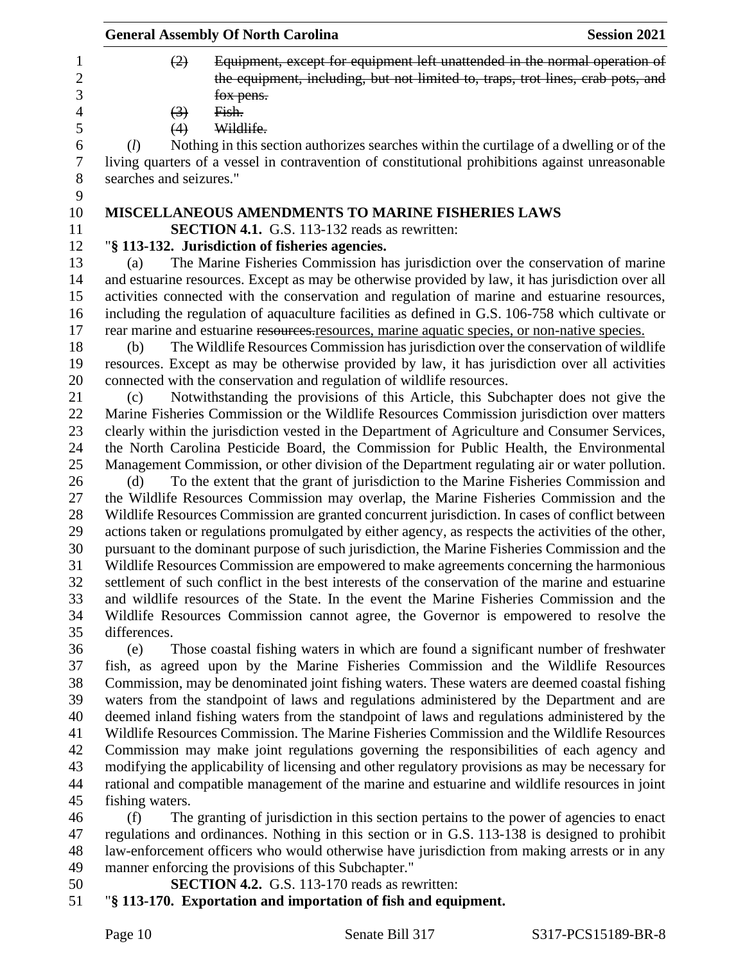|                                   | <b>General Assembly Of North Carolina</b> | <b>Session 2021</b>                                                                                                                                                                                |  |
|-----------------------------------|-------------------------------------------|----------------------------------------------------------------------------------------------------------------------------------------------------------------------------------------------------|--|
| $\mathbf{1}$<br>$\mathbf{2}$<br>3 | (2)                                       | Equipment, except for equipment left unattended in the normal operation of<br>the equipment, including, but not limited to, traps, trot lines, crab pots, and<br>fox pens.                         |  |
| $\overline{4}$                    | $\left(3\right)$                          | Fish.                                                                                                                                                                                              |  |
| 5                                 | (4)                                       | Wildlife.                                                                                                                                                                                          |  |
| 6<br>$\boldsymbol{7}$             | (l)                                       | Nothing in this section authorizes searches within the curtilage of a dwelling or of the<br>living quarters of a vessel in contravention of constitutional prohibitions against unreasonable       |  |
| $8\,$                             | searches and seizures."                   |                                                                                                                                                                                                    |  |
| 9                                 |                                           |                                                                                                                                                                                                    |  |
| 10                                |                                           | <b>MISCELLANEOUS AMENDMENTS TO MARINE FISHERIES LAWS</b>                                                                                                                                           |  |
| 11                                |                                           | <b>SECTION 4.1.</b> G.S. 113-132 reads as rewritten:                                                                                                                                               |  |
| 12                                |                                           | "§ 113-132. Jurisdiction of fisheries agencies.                                                                                                                                                    |  |
| 13                                | (a)                                       | The Marine Fisheries Commission has jurisdiction over the conservation of marine                                                                                                                   |  |
| 14                                |                                           | and estuarine resources. Except as may be otherwise provided by law, it has jurisdiction over all                                                                                                  |  |
| 15                                |                                           | activities connected with the conservation and regulation of marine and estuarine resources,                                                                                                       |  |
| 16                                |                                           | including the regulation of aquaculture facilities as defined in G.S. 106-758 which cultivate or                                                                                                   |  |
| 17                                |                                           | rear marine and estuarine resources resources, marine aquatic species, or non-native species.                                                                                                      |  |
| 18                                | (b)                                       | The Wildlife Resources Commission has jurisdiction over the conservation of wildlife                                                                                                               |  |
| 19                                |                                           | resources. Except as may be otherwise provided by law, it has jurisdiction over all activities                                                                                                     |  |
| 20                                |                                           | connected with the conservation and regulation of wildlife resources.                                                                                                                              |  |
| 21                                | (c)                                       | Notwithstanding the provisions of this Article, this Subchapter does not give the                                                                                                                  |  |
| 22                                |                                           | Marine Fisheries Commission or the Wildlife Resources Commission jurisdiction over matters                                                                                                         |  |
| 23                                |                                           | clearly within the jurisdiction vested in the Department of Agriculture and Consumer Services,                                                                                                     |  |
| 24                                |                                           | the North Carolina Pesticide Board, the Commission for Public Health, the Environmental                                                                                                            |  |
| 25                                |                                           | Management Commission, or other division of the Department regulating air or water pollution.                                                                                                      |  |
| 26                                | (d)                                       | To the extent that the grant of jurisdiction to the Marine Fisheries Commission and                                                                                                                |  |
| 27                                |                                           | the Wildlife Resources Commission may overlap, the Marine Fisheries Commission and the                                                                                                             |  |
| 28                                |                                           | Wildlife Resources Commission are granted concurrent jurisdiction. In cases of conflict between                                                                                                    |  |
| 29                                |                                           | actions taken or regulations promulgated by either agency, as respects the activities of the other,                                                                                                |  |
| 30                                |                                           | pursuant to the dominant purpose of such jurisdiction, the Marine Fisheries Commission and the                                                                                                     |  |
| 31                                |                                           | Wildlife Resources Commission are empowered to make agreements concerning the harmonious                                                                                                           |  |
| 32                                |                                           | settlement of such conflict in the best interests of the conservation of the marine and estuarine                                                                                                  |  |
| 33                                |                                           | and wildlife resources of the State. In the event the Marine Fisheries Commission and the                                                                                                          |  |
| 34                                |                                           | Wildlife Resources Commission cannot agree, the Governor is empowered to resolve the                                                                                                               |  |
| 35                                | differences.                              |                                                                                                                                                                                                    |  |
| 36                                | (e)                                       | Those coastal fishing waters in which are found a significant number of freshwater                                                                                                                 |  |
| 37                                |                                           | fish, as agreed upon by the Marine Fisheries Commission and the Wildlife Resources                                                                                                                 |  |
| 38                                |                                           | Commission, may be denominated joint fishing waters. These waters are deemed coastal fishing                                                                                                       |  |
| 39                                |                                           | waters from the standpoint of laws and regulations administered by the Department and are                                                                                                          |  |
| 40                                |                                           | deemed inland fishing waters from the standpoint of laws and regulations administered by the                                                                                                       |  |
| 41<br>42                          |                                           | Wildlife Resources Commission. The Marine Fisheries Commission and the Wildlife Resources                                                                                                          |  |
| 43                                |                                           | Commission may make joint regulations governing the responsibilities of each agency and                                                                                                            |  |
| 44                                |                                           | modifying the applicability of licensing and other regulatory provisions as may be necessary for<br>rational and compatible management of the marine and estuarine and wildlife resources in joint |  |
| 45                                | fishing waters.                           |                                                                                                                                                                                                    |  |
| 46                                | (f)                                       | The granting of jurisdiction in this section pertains to the power of agencies to enact                                                                                                            |  |
| 47                                |                                           | regulations and ordinances. Nothing in this section or in G.S. 113-138 is designed to prohibit                                                                                                     |  |
| 48                                |                                           | law-enforcement officers who would otherwise have jurisdiction from making arrests or in any                                                                                                       |  |

- manner enforcing the provisions of this Subchapter."
- **SECTION 4.2.** G.S. 113-170 reads as rewritten:
- "**§ 113-170. Exportation and importation of fish and equipment.**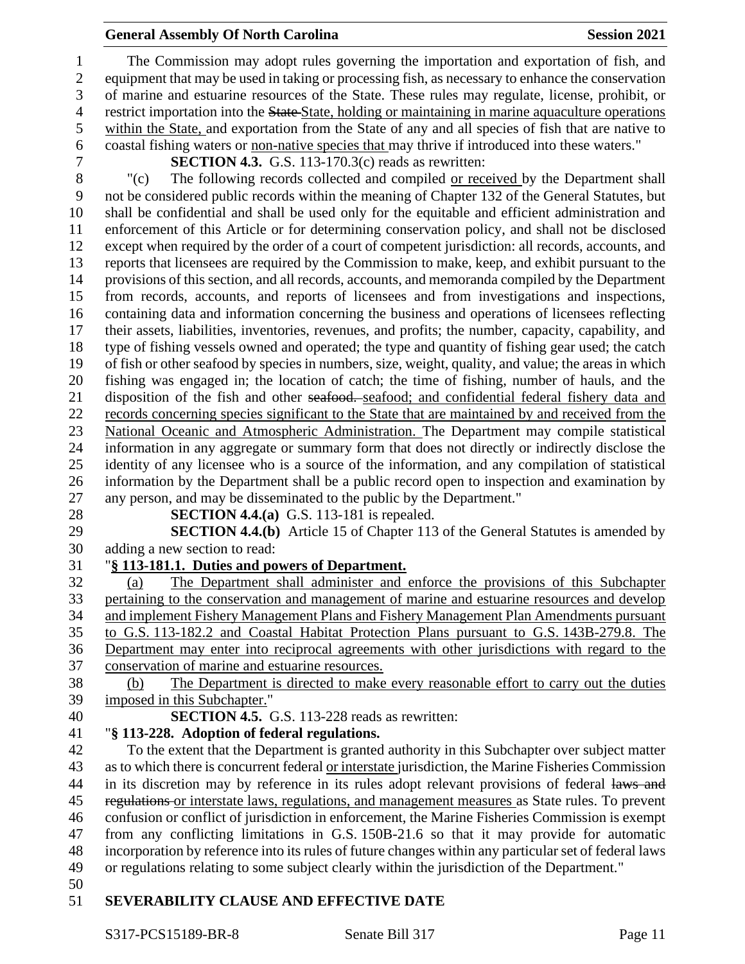### **General Assembly Of North Carolina Session 2021**

 The Commission may adopt rules governing the importation and exportation of fish, and equipment that may be used in taking or processing fish, as necessary to enhance the conservation of marine and estuarine resources of the State. These rules may regulate, license, prohibit, or 4 restrict importation into the State-State, holding or maintaining in marine aquaculture operations within the State, and exportation from the State of any and all species of fish that are native to coastal fishing waters or non-native species that may thrive if introduced into these waters."

**SECTION 4.3.** G.S. 113-170.3(c) reads as rewritten:

 "(c) The following records collected and compiled or received by the Department shall not be considered public records within the meaning of Chapter 132 of the General Statutes, but shall be confidential and shall be used only for the equitable and efficient administration and enforcement of this Article or for determining conservation policy, and shall not be disclosed except when required by the order of a court of competent jurisdiction: all records, accounts, and reports that licensees are required by the Commission to make, keep, and exhibit pursuant to the provisions of this section, and all records, accounts, and memoranda compiled by the Department from records, accounts, and reports of licensees and from investigations and inspections, containing data and information concerning the business and operations of licensees reflecting their assets, liabilities, inventories, revenues, and profits; the number, capacity, capability, and type of fishing vessels owned and operated; the type and quantity of fishing gear used; the catch of fish or other seafood by species in numbers, size, weight, quality, and value; the areas in which fishing was engaged in; the location of catch; the time of fishing, number of hauls, and the 21 disposition of the fish and other seafood. seafood; and confidential federal fishery data and records concerning species significant to the State that are maintained by and received from the National Oceanic and Atmospheric Administration. The Department may compile statistical information in any aggregate or summary form that does not directly or indirectly disclose the identity of any licensee who is a source of the information, and any compilation of statistical information by the Department shall be a public record open to inspection and examination by any person, and may be disseminated to the public by the Department."

**SECTION 4.4.(a)** G.S. 113-181 is repealed.

 **SECTION 4.4.(b)** Article 15 of Chapter 113 of the General Statutes is amended by adding a new section to read:

### "**§ 113-181.1. Duties and powers of Department.**

 (a) The Department shall administer and enforce the provisions of this Subchapter pertaining to the conservation and management of marine and estuarine resources and develop and implement Fishery Management Plans and Fishery Management Plan Amendments pursuant to G.S. 113-182.2 and Coastal Habitat Protection Plans pursuant to G.S. 143B-279.8. The Department may enter into reciprocal agreements with other jurisdictions with regard to the conservation of marine and estuarine resources.

 (b) The Department is directed to make every reasonable effort to carry out the duties imposed in this Subchapter."

**SECTION 4.5.** G.S. 113-228 reads as rewritten:

# "**§ 113-228. Adoption of federal regulations.**

 To the extent that the Department is granted authority in this Subchapter over subject matter as to which there is concurrent federal or interstate jurisdiction, the Marine Fisheries Commission 44 in its discretion may by reference in its rules adopt relevant provisions of federal laws and 45 regulations or interstate laws, regulations, and management measures as State rules. To prevent confusion or conflict of jurisdiction in enforcement, the Marine Fisheries Commission is exempt from any conflicting limitations in G.S. 150B-21.6 so that it may provide for automatic incorporation by reference into its rules of future changes within any particular set of federal laws or regulations relating to some subject clearly within the jurisdiction of the Department."

# **SEVERABILITY CLAUSE AND EFFECTIVE DATE**